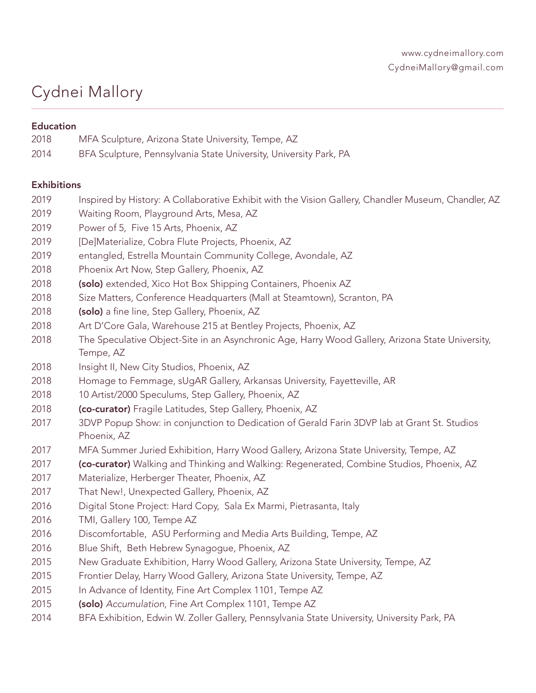# Cydnei Mallory

# **Education**

| 2018 | MFA Sculpture, Arizona State University, Tempe, AZ                |
|------|-------------------------------------------------------------------|
| 2014 | BFA Sculpture, Pennsylvania State University, University Park, PA |

## **Exhibitions**

2019 Inspired by History: A Collaborative Exhibit with the Vision Gallery, Chandler Museum, Chandler, AZ 2019 Waiting Room, Playground Arts, Mesa, AZ 2019 Power of 5, Five 15 Arts, Phoenix, AZ 2019 [De]Materialize, Cobra Flute Projects, Phoenix, AZ 2019 entangled, Estrella Mountain Community College, Avondale, AZ 2018 Phoenix Art Now, Step Gallery, Phoenix, AZ 2018 (solo) extended, Xico Hot Box Shipping Containers, Phoenix AZ 2018 Size Matters, Conference Headquarters (Mall at Steamtown), Scranton, PA 2018 (solo) a fine line, Step Gallery, Phoenix, AZ 2018 Art D'Core Gala, Warehouse 215 at Bentley Projects, Phoenix, AZ 2018 The Speculative Object-Site in an Asynchronic Age, Harry Wood Gallery, Arizona State University, Tempe, AZ 2018 Insight II, New City Studios, Phoenix, AZ 2018 Homage to Femmage, sUgAR Gallery, Arkansas University, Fayetteville, AR 2018 10 Artist/2000 Speculums, Step Gallery, Phoenix, AZ 2018 (co-curator) Fragile Latitudes, Step Gallery, Phoenix, AZ 2017 3DVP Popup Show: in conjunction to Dedication of Gerald Farin 3DVP lab at Grant St. Studios Phoenix, AZ 2017 MFA Summer Juried Exhibition, Harry Wood Gallery, Arizona State University, Tempe, AZ 2017 **(co-curator)** Walking and Thinking and Walking: Regenerated, Combine Studios, Phoenix, AZ 2017 Materialize, Herberger Theater, Phoenix, AZ 2017 That New!, Unexpected Gallery, Phoenix, AZ 2016 Digital Stone Project: Hard Copy, Sala Ex Marmi, Pietrasanta, Italy 2016 TMI, Gallery 100, Tempe AZ 2016 Discomfortable, ASU Performing and Media Arts Building, Tempe, AZ 2016 Blue Shift, Beth Hebrew Synagogue, Phoenix, AZ 2015 New Graduate Exhibition, Harry Wood Gallery, Arizona State University, Tempe, AZ 2015 Frontier Delay, Harry Wood Gallery, Arizona State University, Tempe, AZ 2015 In Advance of Identity, Fine Art Complex 1101, Tempe AZ 2015 (solo) *Accumulation,* Fine Art Complex 1101, Tempe AZ 2014 BFA Exhibition, Edwin W. Zoller Gallery, Pennsylvania State University, University Park, PA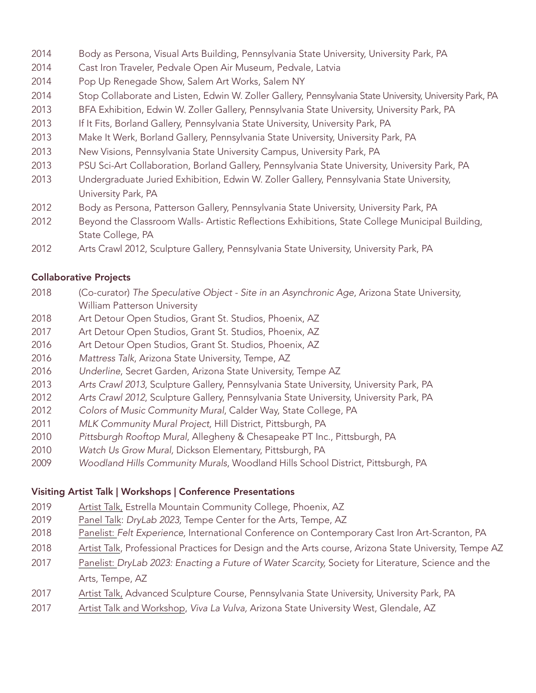- 2014 Body as Persona, Visual Arts Building, Pennsylvania State University, University Park, PA
- 2014 Cast Iron Traveler, Pedvale Open Air Museum, Pedvale, Latvia
- 2014 Pop Up Renegade Show, Salem Art Works, Salem NY
- 2014 Stop Collaborate and Listen, Edwin W. Zoller Gallery, Pennsylvania State University, University Park, PA
- 2013 BFA Exhibition, Edwin W. Zoller Gallery, Pennsylvania State University, University Park, PA
- 2013 If It Fits, Borland Gallery, Pennsylvania State University, University Park, PA
- 2013 Make It Werk, Borland Gallery, Pennsylvania State University, University Park, PA
- 2013 New Visions, Pennsylvania State University Campus, University Park, PA
- 2013 PSU Sci-Art Collaboration, Borland Gallery, Pennsylvania State University, University Park, PA
- 2013 Undergraduate Juried Exhibition, Edwin W. Zoller Gallery, Pennsylvania State University, University Park, PA
- 2012 Body as Persona, Patterson Gallery, Pennsylvania State University, University Park, PA
- 2012 Beyond the Classroom Walls- Artistic Reflections Exhibitions, State College Municipal Building, State College, PA
- 2012 Arts Crawl 2012, Sculpture Gallery, Pennsylvania State University, University Park, PA

#### Collaborative Projects

- 2018 (Co-curator) *The Speculative Object Site in an Asynchronic Age*, Arizona State University, William Patterson University
- 2018 Art Detour Open Studios, Grant St. Studios, Phoenix, AZ
- 2017 Art Detour Open Studios, Grant St. Studios, Phoenix, AZ
- 2016 Art Detour Open Studios, Grant St. Studios, Phoenix, AZ
- 2016 *Mattress Talk*, Arizona State University, Tempe, AZ
- 2016 *Underline*, Secret Garden, Arizona State University, Tempe AZ
- 2013 *Arts Crawl 2013*, Sculpture Gallery, Pennsylvania State University, University Park, PA
- 2012 *Arts Crawl 2012*, Sculpture Gallery, Pennsylvania State University, University Park, PA
- 2012 *Colors of Music Community Mural*, Calder Way, State College, PA
- 2011 *MLK Community Mural Project,* Hill District, Pittsburgh, PA
- 2010 *Pittsburgh Rooftop Mural*, Allegheny & Chesapeake PT Inc., Pittsburgh, PA
- 2010 *Watch Us Grow Mural,* Dickson Elementary, Pittsburgh, PA
- 2009 *Woodland Hills Community Murals*, Woodland Hills School District, Pittsburgh, PA

#### Visiting Artist Talk | Workshops | Conference Presentations

- 2019 Artist Talk, Estrella Mountain Community College, Phoenix, AZ
- 2019 Panel Talk: *DryLab 2023,* Tempe Center for the Arts, Tempe, AZ
- 2018 Panelist: *Felt Experience,* International Conference on Contemporary Cast Iron Art-Scranton, PA
- 2018 Artist Talk, Professional Practices for Design and the Arts course, Arizona State University, Tempe AZ
- 2017 Panelist: *DryLab 2023: Enacting a Future of Water Scarcity,* Society for Literature, Science and the Arts, Tempe, AZ
- 2017 Artist Talk, Advanced Sculpture Course, Pennsylvania State University, University Park, PA
- 2017 Artist Talk and Workshop, *Viva La Vulva,* Arizona State University West, Glendale, AZ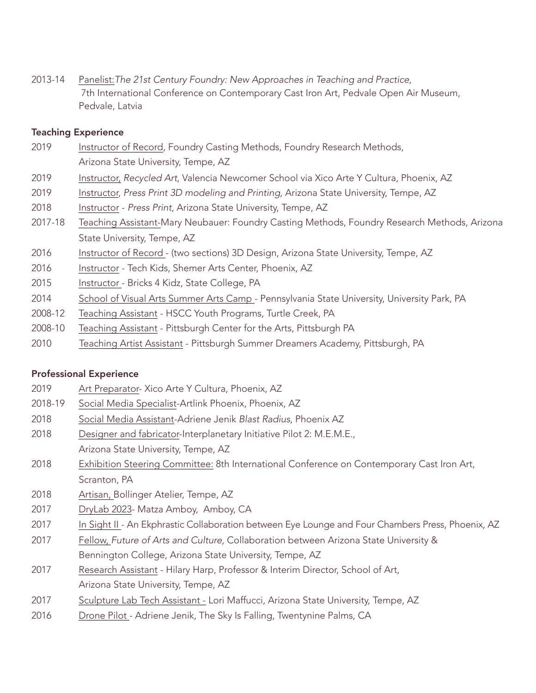2013-14 Panelist:*The 21st Century Foundry: New Approaches in Teaching and Practice,* 7th International Conference on Contemporary Cast Iron Art, Pedvale Open Air Museum, Pedvale, Latvia

#### Teaching Experience

- 2019 Instructor of Record, Foundry Casting Methods, Foundry Research Methods, Arizona State University, Tempe, AZ
- 2019 Instructor, *Recycled Art*, Valencia Newcomer School via Xico Arte Y Cultura, Phoenix, AZ
- 2019 Instructor, *Press Print 3D modeling and Printing,* Arizona State University, Tempe, AZ
- 2018 Instructor *Press Print*, Arizona State University, Tempe, AZ
- 2017-18 Teaching Assistant-Mary Neubauer: Foundry Casting Methods, Foundry Research Methods, Arizona State University, Tempe, AZ
- 2016 Instructor of Record (two sections) 3D Design, Arizona State University, Tempe, AZ
- 2016 Instructor Tech Kids, Shemer Arts Center, Phoenix, AZ
- 2015 Instructor Bricks 4 Kidz, State College, PA
- 2014 School of Visual Arts Summer Arts Camp Pennsylvania State University, University Park, PA
- 2008-12 Teaching Assistant HSCC Youth Programs, Turtle Creek, PA
- 2008-10 Teaching Assistant Pittsburgh Center for the Arts, Pittsburgh PA
- 2010 Teaching Artist Assistant Pittsburgh Summer Dreamers Academy, Pittsburgh, PA

#### Professional Experience

- 2019 Art Preparator- Xico Arte Y Cultura, Phoenix, AZ
- 2018-19 Social Media Specialist-Artlink Phoenix, Phoenix, AZ
- 2018 Social Media Assistant-Adriene Jenik *Blast Radius*, Phoenix AZ
- 2018 Designer and fabricator-Interplanetary Initiative Pilot 2: M.E.M.E., Arizona State University, Tempe, AZ
- 2018 Exhibition Steering Committee: 8th International Conference on Contemporary Cast Iron Art, Scranton, PA
- 2018 Artisan, Bollinger Atelier, Tempe, AZ
- 2017 DryLab 2023- Matza Amboy, Amboy, CA
- 2017 In Sight II An Ekphrastic Collaboration between Eye Lounge and Four Chambers Press, Phoenix, AZ
- 2017 Fellow, *Future of Arts and Culture,* Collaboration between Arizona State University & Bennington College, Arizona State University, Tempe, AZ
- 2017 Research Assistant Hilary Harp, Professor & Interim Director, School of Art, Arizona State University, Tempe, AZ
- 2017 Sculpture Lab Tech Assistant Lori Maffucci, Arizona State University, Tempe, AZ
- 2016 Drone Pilot Adriene Jenik, The Sky Is Falling, Twentynine Palms, CA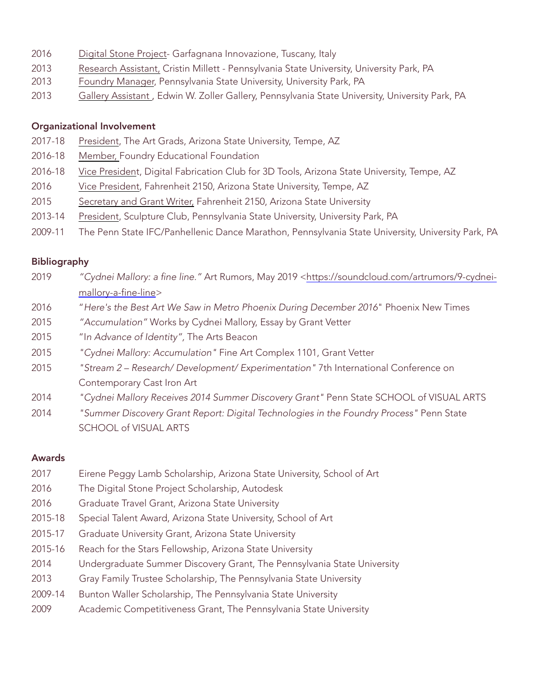- 2016 Digital Stone Project- Garfagnana Innovazione, Tuscany, Italy
- 2013 Research Assistant, Cristin Millett Pennsylvania State University, University Park, PA
- 2013 Foundry Manager, Pennsylvania State University, University Park, PA
- 2013 Gallery Assistant, Edwin W. Zoller Gallery, Pennsylvania State University, University Park, PA

## Organizational Involvement

- 2017-18 President, The Art Grads, Arizona State University, Tempe, AZ
- 2016-18 Member, Foundry Educational Foundation
- 2016-18 Vice President, Digital Fabrication Club for 3D Tools, Arizona State University, Tempe, AZ
- 2016 Vice President, Fahrenheit 2150, Arizona State University, Tempe, AZ
- 2015 Secretary and Grant Writer, Fahrenheit 2150, Arizona State University
- 2013-14 President, Sculpture Club, Pennsylvania State University, University Park, PA
- 2009-11 The Penn State IFC/Panhellenic Dance Marathon, Pennsylvania State University, University Park, PA

# Bibliography

- 2019 *"Cydnei Mallory: a fine line."* Art Rumors, May 2019 [<https://soundcloud.com/artrumors/9-cydnei](https://soundcloud.com/artrumors/9-cydnei-mallory-a-fine-line)[mallory-a-fine-line](https://soundcloud.com/artrumors/9-cydnei-mallory-a-fine-line)>
- 2016 "*Here's the Best Art We Saw in Metro Phoenix During December 2016*" Phoenix New Times
- 2015 *"Accumulation"* Works by Cydnei Mallory, Essay by Grant Vetter
- 2015 "I*n Advance of Identity",* The Arts Beacon
- 2015 *"Cydnei Mallory: Accumulation"* Fine Art Complex 1101, Grant Vetter
- 2015 *"Stream 2 Research/ Development/ Experimentation"* 7th International Conference on Contemporary Cast Iron Art
- 2014 *"Cydnei Mallory Receives 2014 Summer Discovery Grant"* Penn State SCHOOL of VISUAL ARTS
- 2014 *"Summer Discovery Grant Report: Digital Technologies in the Foundry Process"* Penn State SCHOOL of VISUAL ARTS

## Awards

- 2017 Eirene Peggy Lamb Scholarship, Arizona State University, School of Art
- 2016 The Digital Stone Project Scholarship, Autodesk
- 2016 Graduate Travel Grant, Arizona State University
- 2015-18 Special Talent Award, Arizona State University, School of Art
- 2015-17 Graduate University Grant, Arizona State University
- 2015-16 Reach for the Stars Fellowship, Arizona State University
- 2014 Undergraduate Summer Discovery Grant, The Pennsylvania State University
- 2013 Gray Family Trustee Scholarship, The Pennsylvania State University
- 2009-14 Bunton Waller Scholarship, The Pennsylvania State University
- 2009 Academic Competitiveness Grant, The Pennsylvania State University